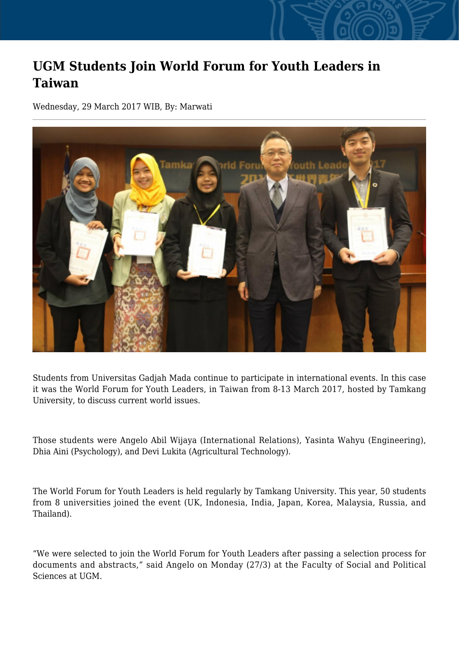## **UGM Students Join World Forum for Youth Leaders in Taiwan**

Wednesday, 29 March 2017 WIB, By: Marwati



Students from Universitas Gadjah Mada continue to participate in international events. In this case it was the World Forum for Youth Leaders, in Taiwan from 8-13 March 2017, hosted by Tamkang University, to discuss current world issues.

Those students were Angelo Abil Wijaya (International Relations), Yasinta Wahyu (Engineering), Dhia Aini (Psychology), and Devi Lukita (Agricultural Technology).

The World Forum for Youth Leaders is held regularly by Tamkang University. This year, 50 students from 8 universities joined the event (UK, Indonesia, India, Japan, Korea, Malaysia, Russia, and Thailand).

"We were selected to join the World Forum for Youth Leaders after passing a selection process for documents and abstracts," said Angelo on Monday (27/3) at the Faculty of Social and Political Sciences at UGM.